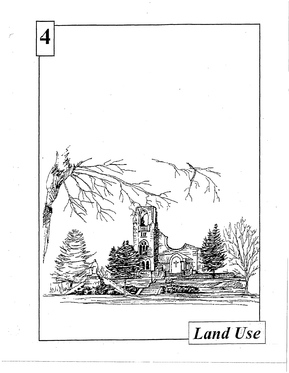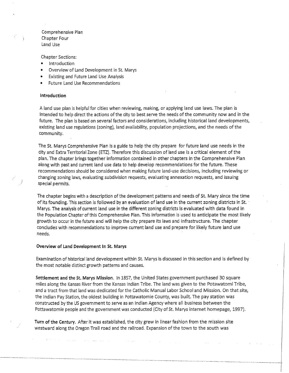Comprehensive Plan Chapter Four Land Use

Chapter Sections:

- **Introduction**
- Overview of Land Development in St. Marys
- Existing and Future Land Use Analysis
- Future Land Use Recommendations

### Introduction

*)* 

A land use plan is helpful for cities when reviewing, making, or applying land use laws. The plan is intended· to help direct the actions of the city to best serve the needs of the community now and in the future. The plan is based on several factors and considerations, including historical land developments, existing land use regulations (zoning), land availability, population projections, and the needs of the community.

The St. Marys Comprehensive Plan is a guide to help the city prepare for future land use needs in the city and Extra Territorial Zone (ETZ). Therefore this discussion of land use is a critical element of the plan. The chapter brings together information contained in other chapters in the Comprehensive Plan along with past and current land use data to help develop recommendations for the future. These recommendations should be considered when making future land-use decisions, including reviewing or changing zoning laws, evaluating subdivision requests, evaluating annexation requests, and issuing special permits.

The chapter begins with a description of the development patterns and·needs of St. Mary since the time of its founding. This section is followed by an evaluation of land use in the current zoning districts in St. · Marys. The analysis of current land use in the different zoning districts is evaluated with data found in the Population Chapter of this Comprehensive Plan. This information is used to anticipate the most likely growth to occur in the future and will help the city prepare its laws and infrastructure. The chapter concludes with recommendations to improve current land use and prepare for likely future land use needs.

#### Overview of Land Development In St. Marys

Examination of historical land development within St. Marys is discussed in this section and is defined by the most notable distinct growth patterns and causes.

Settlement and the St. Marys Mission. In 1857, the United States government purchased 30 square miles along the Kansas River from the Kansas Indian Tribe. The land was given to the Potawatomi Tribe, and a tract from that land was dedicated for the Catholic Manual Labor School and Mission. On that site, the Indian Pay Station, the oldest building in Pottawatomie County, was built. The pay station was constructed by the US government to serve as an Indian Agency where all business between the Pottawatomie people and the government was conducted (City of St. Marys internet homepage, 1997).

 $\mathcal{L}$ 

Turn of the Century. After it was established, the city grew in linear fashion from the mission site westward along the Oregon Trail road and the railroad. Expansion of the town to the south was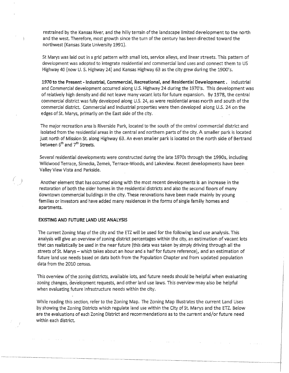restrained by the Kansas River, and the hilly terrain of the landscape limited development to the north and the west. Therefore, most growth since the turn of the century has been directed toward the northwest (Kansas State University 1991).

St Marys was laid out in a grid pattern with small lots, service alleys, and linear streets. This pattern of development was adopted to integrate residential and commercial land uses and connect them to US Highway 40 (now U.S. Highway 24) and Kansas Highway 63 as the city grew during the 1900's.

**1970 to the Present - Industrial, Commercial, Recreational, and Residential Development.** Industrial and Commercial development occurred along U.S. Highway 24 during the 1970's. This development was of relatively high density and did not leave many vacant lots for future expansion. By 1978, the central commercial district was fully developed along U.S. 24, as were residential areas north and south of the commercial district. Commercial and Industrial properties were then developed along U.S. 24 on the edges of St. Marys, primarily on the East side of the city.

The major recreation area is Riverside Park, located to the south of the central commercial district and isolated from the residential areas in the central and northern parts of the city. A smaller park is located just north of Mission St. along Highway 63. An even smaller park is located on the north side of Bertrand between  $6<sup>th</sup>$  and  $7<sup>th</sup>$  Streets.

Several residential developments were constructed during the late 1970s through the 1990s, including Wildwood Terrace, Simecka, Zemek, Terrace-Woods, and Lakeview. Recent developments have been Valley View Vista and Parkside.

Another element that has occurred along with the most recent developments is an increase in the restoration of both the older homes in the residential districts and also the second floors of many downtown commercial buildings in the city. These renovations have been made mainly by young families or investors and have added many residences in the forms of single family homes and apartments.

### **EXISTING AND FUTURE LAND USE ANALYSIS**

(

The current Zoning Map of the city and the ETZ will be used for the following Ian d use analysis. This analysis will give an overview of zoning district percentages within the city, an estimation of vacant lots that can realistically be used in the near future (this data was taken by simply driving through all the streets of St. Marys – which takes about an hour and a half for future reference), and an estimation of future land use needs based on data both from the Population Chapter and from updated population data from the 2010 census.

This overview of the zoning districts, available lots, and future needs should be helpful when evaluating zoning changes, development requests, and other land use laws. This overview may also be helpful when evaluating future infrastructure needs within the city.

While reading this section, refer to the Zoning Map. The Zoning Map illustrates the current Land Uses by showing the Zoning Districts which regulate land use within the City of St. Marys and the ETZ. Below are the evaluations of each Zoning District and recommendations as to the current and/or future need within each district.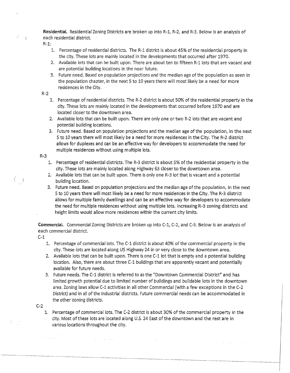**Residential.** Residential Zoning Districts are broken up into R-1, R-2, and R-3. Below is an analysis of each residential district.

 $R-1$ :

- 1. Percentage of residential districts. The R-1 district is about 45% of the residential property in the city. These lots are mainly located in the developments that occurred after 1970.
- 2. Available lots that can be built upon. There are about ten to fifteen R-1 lots that are vacant and are potential building locations in the near future.
- 3. Future need. Based on population projections and the median age of the population as seen in the population chapter, in the next 5 to 10 years there will most likely be a need for more residences in the City.

## R-2

- 1. Percentage of residential districts. The R-2 district is about 50% of the residential property in the city. These lots are mainly located in the developments that occurred before 1970 and are located closer to the downtown area.
- 2. Available lots that can be built upon. There are only one or two R-2 lots that are vacant and potential building locations.
- 3. Future need. Based on population projections and the median age of the population, in the next 5 to 10 years there will most likely be a need for more residences in the City. The R-2 district allows for duplexes and can be an effective way for developers to accommodate the need for multiple residences without using multiple lots.

# R-3

(

- 1. Percentage of residential districts. The R-3 district is about 5% of the residential property in the city. These lots are mainly located along Highway 63 closer to the downtown area.
- 2. Available lots that can be built upon. There is only one R-3 lot that is vacant and a potential building location.
- 3. Future need. Based on population projections and the median age of the population, in the next 5 to 10 years there will most likely be a need for more residences in the City. The R-3 district allows for multiple family dwellings and can be an effective way for developers to accommodate the need for multiple residences without using multiple lots. Increasing R-3 zoning districts and height limits would allow more residences within the current city limits.

**Commercial.** Commercial Zoning Districts are broken up into C-1, C-2, and C-3. Below is an analysis of each commercial district.

- C-1
	- 1. Percentage of commercial lots. The C-1 district is about 40% of the commercial property in the city. These lots are located along US Highway 24 in or very close to the downtown area.
	- 2. Available lots that can be built upon. There is one C-1 lot that is empty and a potential building location. Also, there are about three C-1 buildings that are apparently vacant and potentially available for future needs.
	- 3. Future needs. The C-1 district is referred to as the "Downtown Commercial District" and has limited growth potential due to limited number of buildings and buildable lots in the downtown area. Zoning laws allow C-1 activities in all other Commercial (with a few exceptions in the C-2 District) and in all of the Industrial districts. Future commercial needs can be accommodated in the other zoning districts.

C-2

1. Percentage of commercial lots. The C-2 district is about 30% of the commercial property in the city. Most of these lots are located along U.S. 24 East of the downtown and the rest are in various locations throughout the city.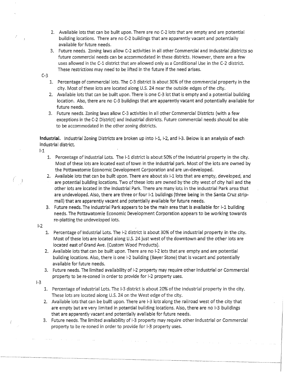- 2. Available lots that can be built upon. There are no C-2 lots that are empty and are potential building locations. There are no C-2 buildings that are apparently vacant and potentially available for future needs.
- 3. Future needs. Zoning laws allow C-2 activities in all other Commercial and Industrial ,districts so future commercial needs can be accommodated in these districts. However, there are a few uses allowed in the C-1 district that are allowed only as a Conditional Use in the C-2 district. These restrictions may need to be lifted in the future if the need a rises.
- C-3
	- 1. Percentage of commercial lots. The C-3 district is about 30% of the commercial property in the city. Most of these lots are located along U.S. 24 nearthe outside edges of the city.
	- 2. Available lots that can be built upon. There is one C-3 lot that is empty and a potential building location. Also, there are no C-3 buildings that are apparently vacant and potentially available for future needs.
	- 3. Future needs. Zoning laws allow C-3 activities in all other Commercial Districts (with a few exceptions in the C-2 District) and Industrial districts. Future commercial needs should be able to be accommodated in the other zoning districts.

**Industrial.** Industrial Zoning Districts are broken up into 1-1, 1-2, and 1-3. Below is an analysis of each Industrial district.

1-1

- 1. Percentage of Industrial Lots. The 1-1 district is about50% of the Industrial property in the city. Most of these lots are located east of town in the Industrial park. Most of the lots are owned by the Pottawatomie Economic Development Corporation and are un-developed.
- 2. Available lots that can be built upon. There are about six 1-1 lots that are empty, developed; and are potential building locations. Two of these lots are owned by the city west of city hall and the other lots are located in the Industrial Park. There are many lots in the Industrial Park area that are undeveloped. Also, there are three or four  $i$ -1 buildings (three being in the Santa Cruz stripmall) that are apparently vacant and potentially available for future needs.
- 3. Future needs. The Industrial Park appears to be the main area that is available for I-1 building needs. The Pottawatomie Economic Development Corporation appears to be working towards re-platting the undeveloped lots.
- 1-2
- 1. Percentage of Industrial Lots. The 1-2 district is about 30% of the Industrial property in the city. Most of these lots are located along U.S. 24 just west of the downtown and the other lots are located east of Grand Ave. (Custom Wood Products).
- 2. Available lots that can be built upon. There are no 1-2 lots that are empty and are potential building locations. Also, there is one 1-2 building (Bayer Stone) that is vacant and potentially available for future needs.
- 3. Future needs. The limited availability of 1-2 property may require other Industrial or Commercial property to be re-zoned in order to provide for 1-2 property uses.
- 1-3
- 1. Percentage of Industrial Lots. The 1-3 district is about 20% ofthe Industrial property in the city. These lots are located along U.S. 24 on the West edge of the city.
- 2. Available lots that can be built upon. There are 1-3 lots along the railroad west of the city that are empty but are very limited in potential building locations. Also, there are no 1-3 buildings that are apparently vacant and potentially available for future needs.
- 3. Future needs. The limited availability of 1-3 property may require other Industrial or Commercial property to be re-zoned in order to provide for 1-3 property uses.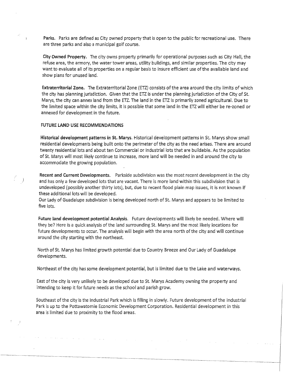**Parks.** Parks are defined as City owned property that is open to the public for recreational use. There are three parks and also a municipal golf course.

**City Owned Property.** The city owns property primarily for operational purposes such as City Hall, the refuse area, the armory, the water tower areas, utility buildings, and similar properties. The city may want to evaluate all of its properties on a regular basis to insure efficient use of the available land and show plans for unused land.

**Extraterritorial Zone.** The Extraterritorial Zone (ETZ) consists of the area around the city limits of which the city has planning jurisdiction. Given that the ETZ is under the planning jurisdiction of the City of St. Marys, the city can annex land from the ETZ. The land in the ETZ is primarily zoned agricultural. Due to the limited space within the city limits, it is possible that some land in the ETZ will either be re-zoned or annexed for development in the future.

### **FUTURE LAND USE RECOMMENDATIONS**

**Historical development patterns in St. Marys.** Historical development patterns in St. Marys show small residential developments being built onto the perimeter of the city as the need arises. There are around twenty residential lots and about ten Commercial or Industrial lots that are buildable. As the population of St. Marys will most likely continue to increase, more land will be needed in and around the city to accommodate the growing population.

**Recent and Current Developments.** Parkside subdivision was the most recent development in the city and has only a few developed lots that are vacant. There is more land within this subdivision that is undeveloped (possibly another thirty lots), but, due to recent flood plain map issues, it is not known if these additional lots will be developed.

Our Lady of Guadalupe subdivision is being developed north of St. Marys and appears to be limited to five lots.

**Future land development potential Analysis.** Future developments will likely be needed. Where will they be? Here is a quick analysis of the land surrounding St. Marys and the most likely locations for future developments to occur. The analysis will begin with the area north of the city and will continue around the city starting with the northeast.

North of St. Marys has limited growth potential due to Country Breeze and Our Lady of Guadalupe developments.

Northeast of the city has some development potential, but is limited due to the Lake and waterways.

East of the city is very unlikely to be developed due to St. Marys Academy owning the property and intending to keep it for future needs as the school and parish grow.

Southeast of the city is the industrial Park which is filling in slowly. Future development of the Industrial Park is up to the Pottawatomie Economic Development Corporation. Residential development in this area is limited due to proximity to the flood areas.